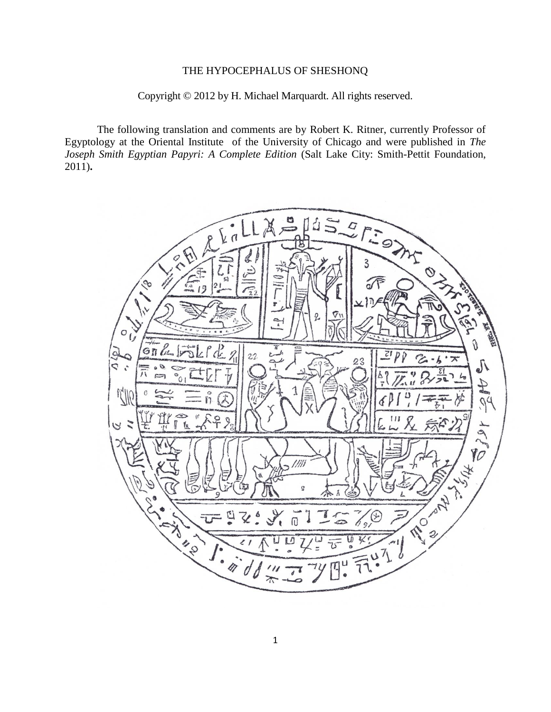## THE HYPOCEPHALUS OF SHESHONQ

## Copyright © 2012 by H. Michael Marquardt. All rights reserved.

The following translation and comments are by Robert K. Ritner, currently Professor of Egyptology at the Oriental Institute of the University of Chicago and were published in *The Joseph Smith Egyptian Papyri: A Complete Edition* (Salt Lake City: Smith-Pettit Foundation, 2011)**.**